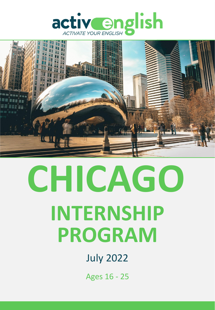



# **INTERNSHIP PROGRAM CHICAGO**

# July 2022

Ages 16 - 25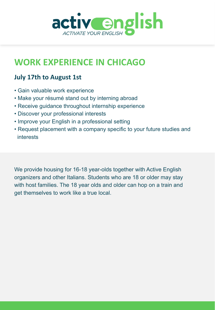

## **WORK EXPERIENCE IN CHICAGO**

#### **July 17th to August 1st**

- Gain valuable work experience
- Make your résumé stand out by interning abroad
- Receive guidance throughout internship experience
- Discover your professional interests
- Improve your English in a professional setting
- Request placement with a company specific to your future studies and interests

We provide housing for 16-18 year-olds together with Active English organizers and other Italians. Students who are 18 or older may stay with host families. The 18 year olds and older can hop on a train and get themselves to work like a true local.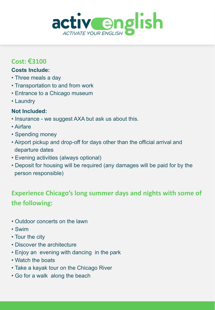

#### **Cost: €3100**

#### **Costs Include:**

- Three meals a day
- Transportation to and from work
- Entrance to a Chicago museum
- Laundry

#### **Not Included:**

- Insurance we suggest AXA but ask us about this.
- Airfare
- Spending money
- Airport pickup and drop-off for days other than the official arrival and departure dates
- Evening activities (always optional)
- Deposit for housing will be required (any damages will be paid for by the person responsible)

### **Experience Chicago's long summer days and nights with some of the following:**

- Outdoor concerts on the lawn
- Swim
- Tour the city
- Discover the architecture
- Enjoy an evening with dancing in the park
- Watch the boats
- Take a kayak tour on the Chicago River
- Go for a walk along the beach